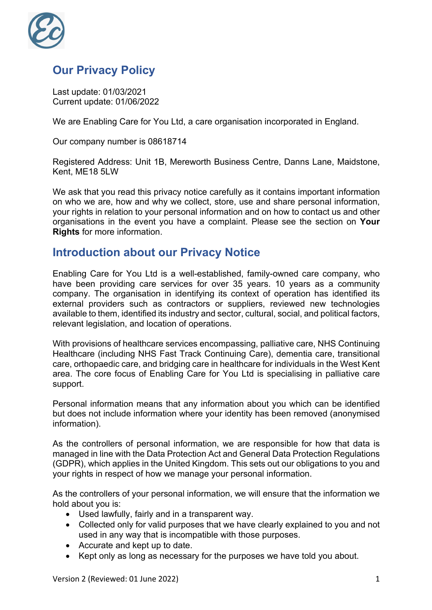

# **Our Privacy Policy**

Last update: 01/03/2021 Current update: 01/06/2022

We are Enabling Care for You Ltd, a care organisation incorporated in England.

Our company number is 08618714

Registered Address: Unit 1B, Mereworth Business Centre, Danns Lane, Maidstone, Kent, ME18 5LW

We ask that you read this privacy notice carefully as it contains important information on who we are, how and why we collect, store, use and share personal information, your rights in relation to your personal information and on how to contact us and other organisations in the event you have a complaint. Please see the section on **Your Rights** for more information.

#### **Introduction about our Privacy Notice**

Enabling Care for You Ltd is a well-established, family-owned care company, who have been providing care services for over 35 years. 10 years as a community company. The organisation in identifying its context of operation has identified its external providers such as contractors or suppliers, reviewed new technologies available to them, identified its industry and sector, cultural, social, and political factors, relevant legislation, and location of operations.

With provisions of healthcare services encompassing, palliative care, NHS Continuing Healthcare (including NHS Fast Track Continuing Care), dementia care, transitional care, orthopaedic care, and bridging care in healthcare for individuals in the West Kent area. The core focus of Enabling Care for You Ltd is specialising in palliative care support.

Personal information means that any information about you which can be identified but does not include information where your identity has been removed (anonymised information).

As the controllers of personal information, we are responsible for how that data is managed in line with the Data Protection Act and General Data Protection Regulations (GDPR), which applies in the United Kingdom. This sets out our obligations to you and your rights in respect of how we manage your personal information.

As the controllers of your personal information, we will ensure that the information we hold about you is:

- Used lawfully, fairly and in a transparent way.
- Collected only for valid purposes that we have clearly explained to you and not used in any way that is incompatible with those purposes.
- Accurate and kept up to date.
- Kept only as long as necessary for the purposes we have told you about.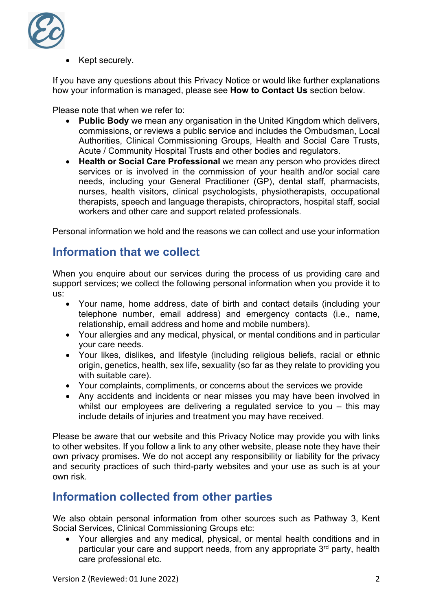

Kept securely.

If you have any questions about this Privacy Notice or would like further explanations how your information is managed, please see **How to Contact Us** section below.

Please note that when we refer to:

- **Public Body** we mean any organisation in the United Kingdom which delivers, commissions, or reviews a public service and includes the Ombudsman, Local Authorities, Clinical Commissioning Groups, Health and Social Care Trusts, Acute / Community Hospital Trusts and other bodies and regulators.
- **Health or Social Care Professional** we mean any person who provides direct services or is involved in the commission of your health and/or social care needs, including your General Practitioner (GP), dental staff, pharmacists, nurses, health visitors, clinical psychologists, physiotherapists, occupational therapists, speech and language therapists, chiropractors, hospital staff, social workers and other care and support related professionals.

Personal information we hold and the reasons we can collect and use your information

#### **Information that we collect**

When you enquire about our services during the process of us providing care and support services; we collect the following personal information when you provide it to us:

- Your name, home address, date of birth and contact details (including your telephone number, email address) and emergency contacts (i.e., name, relationship, email address and home and mobile numbers).
- Your allergies and any medical, physical, or mental conditions and in particular your care needs.
- Your likes, dislikes, and lifestyle (including religious beliefs, racial or ethnic origin, genetics, health, sex life, sexuality (so far as they relate to providing you with suitable care).
- Your complaints, compliments, or concerns about the services we provide
- Any accidents and incidents or near misses you may have been involved in whilst our employees are delivering a regulated service to you – this may include details of injuries and treatment you may have received.

Please be aware that our website and this Privacy Notice may provide you with links to other websites. If you follow a link to any other website, please note they have their own privacy promises. We do not accept any responsibility or liability for the privacy and security practices of such third-party websites and your use as such is at your own risk.

#### **Information collected from other parties**

We also obtain personal information from other sources such as Pathway 3, Kent Social Services, Clinical Commissioning Groups etc:

• Your allergies and any medical, physical, or mental health conditions and in particular your care and support needs, from any appropriate 3<sup>rd</sup> party, health care professional etc.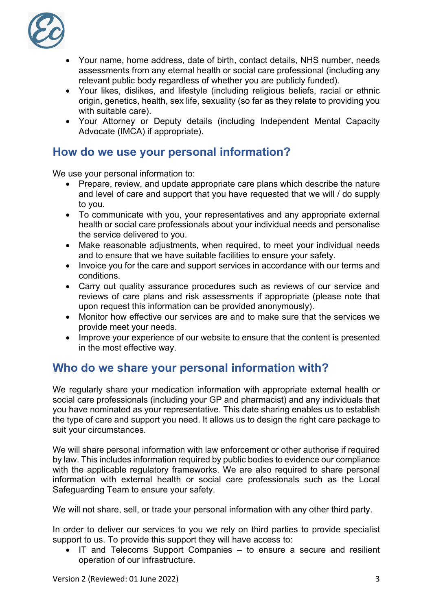

- Your name, home address, date of birth, contact details, NHS number, needs assessments from any eternal health or social care professional (including any relevant public body regardless of whether you are publicly funded).
- Your likes, dislikes, and lifestyle (including religious beliefs, racial or ethnic origin, genetics, health, sex life, sexuality (so far as they relate to providing you with suitable care).
- Your Attorney or Deputy details (including Independent Mental Capacity Advocate (IMCA) if appropriate).

### **How do we use your personal information?**

We use your personal information to:

- Prepare, review, and update appropriate care plans which describe the nature and level of care and support that you have requested that we will / do supply to you.
- To communicate with you, your representatives and any appropriate external health or social care professionals about your individual needs and personalise the service delivered to you.
- Make reasonable adjustments, when required, to meet your individual needs and to ensure that we have suitable facilities to ensure your safety.
- Invoice you for the care and support services in accordance with our terms and conditions.
- Carry out quality assurance procedures such as reviews of our service and reviews of care plans and risk assessments if appropriate (please note that upon request this information can be provided anonymously).
- Monitor how effective our services are and to make sure that the services we provide meet your needs.
- Improve your experience of our website to ensure that the content is presented in the most effective way.

# **Who do we share your personal information with?**

We regularly share your medication information with appropriate external health or social care professionals (including your GP and pharmacist) and any individuals that you have nominated as your representative. This date sharing enables us to establish the type of care and support you need. It allows us to design the right care package to suit your circumstances.

We will share personal information with law enforcement or other authorise if required by law. This includes information required by public bodies to evidence our compliance with the applicable regulatory frameworks. We are also required to share personal information with external health or social care professionals such as the Local Safeguarding Team to ensure your safety.

We will not share, sell, or trade your personal information with any other third party.

In order to deliver our services to you we rely on third parties to provide specialist support to us. To provide this support they will have access to:

• IT and Telecoms Support Companies – to ensure a secure and resilient operation of our infrastructure.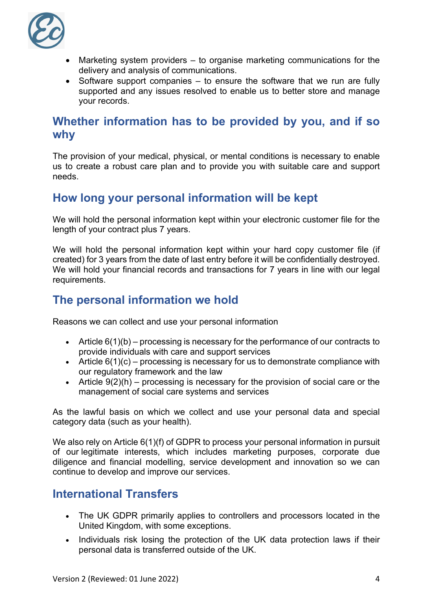

- Marketing system providers to organise marketing communications for the delivery and analysis of communications.
- Software support companies to ensure the software that we run are fully supported and any issues resolved to enable us to better store and manage your records.

#### **Whether information has to be provided by you, and if so why**

The provision of your medical, physical, or mental conditions is necessary to enable us to create a robust care plan and to provide you with suitable care and support needs.

### **How long your personal information will be kept**

We will hold the personal information kept within your electronic customer file for the length of your contract plus 7 years.

We will hold the personal information kept within your hard copy customer file (if created) for 3 years from the date of last entry before it will be confidentially destroyed. We will hold your financial records and transactions for 7 years in line with our legal requirements.

### **The personal information we hold**

Reasons we can collect and use your personal information

- Article  $6(1)(b)$  processing is necessary for the performance of our contracts to provide individuals with care and support services
- Article  $6(1)(c)$  processing is necessary for us to demonstrate compliance with our regulatory framework and the law
- Article  $9(2)(h)$  processing is necessary for the provision of social care or the management of social care systems and services

As the lawful basis on which we collect and use your personal data and special category data (such as your health).

We also rely on Article 6(1)(f) of GDPR to process your personal information in pursuit of our legitimate interests, which includes marketing purposes, corporate due diligence and financial modelling, service development and innovation so we can continue to develop and improve our services.

### **International Transfers**

- The UK GDPR primarily applies to controllers and processors located in the United Kingdom, with some exceptions.
- Individuals risk losing the protection of the UK data protection laws if their personal data is transferred outside of the UK.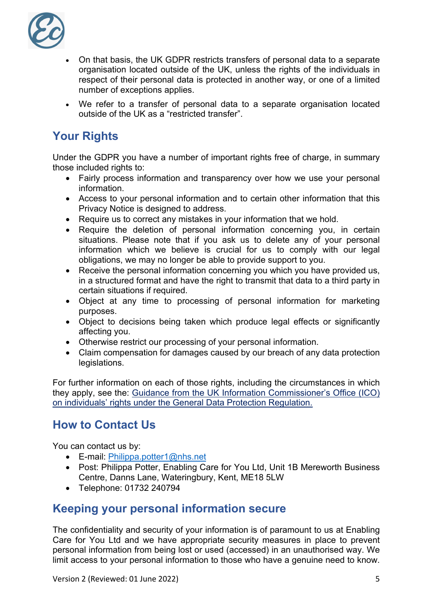

- On that basis, the UK GDPR restricts transfers of personal data to a separate organisation located outside of the UK, unless the rights of the individuals in respect of their personal data is protected in another way, or one of a limited number of exceptions applies.
- We refer to a transfer of personal data to a separate organisation located outside of the UK as a "restricted transfer".

# **Your Rights**

Under the GDPR you have a number of important rights free of charge, in summary those included rights to:

- Fairly process information and transparency over how we use your personal information.
- Access to your personal information and to certain other information that this Privacy Notice is designed to address.
- Require us to correct any mistakes in your information that we hold.
- Require the deletion of personal information concerning you, in certain situations. Please note that if you ask us to delete any of your personal information which we believe is crucial for us to comply with our legal obligations, we may no longer be able to provide support to you.
- Receive the personal information concerning you which you have provided us, in a structured format and have the right to transmit that data to a third party in certain situations if required.
- Object at any time to processing of personal information for marketing purposes.
- Object to decisions being taken which produce legal effects or significantly affecting you.
- Otherwise restrict our processing of your personal information.
- Claim compensation for damages caused by our breach of any data protection legislations.

For further information on each of those rights, including the circumstances in which they apply, see the: Guidance from the UK Information Commissioner's Office (ICO) on individuals' rights under the General Data Protection Regulation.

# **How to Contact Us**

You can contact us by:

- E-mail: Philippa.potter1@nhs.net
- Post: Philippa Potter, Enabling Care for You Ltd, Unit 1B Mereworth Business Centre, Danns Lane, Wateringbury, Kent, ME18 5LW
- Telephone: 01732 240794

### **Keeping your personal information secure**

The confidentiality and security of your information is of paramount to us at Enabling Care for You Ltd and we have appropriate security measures in place to prevent personal information from being lost or used (accessed) in an unauthorised way. We limit access to your personal information to those who have a genuine need to know.